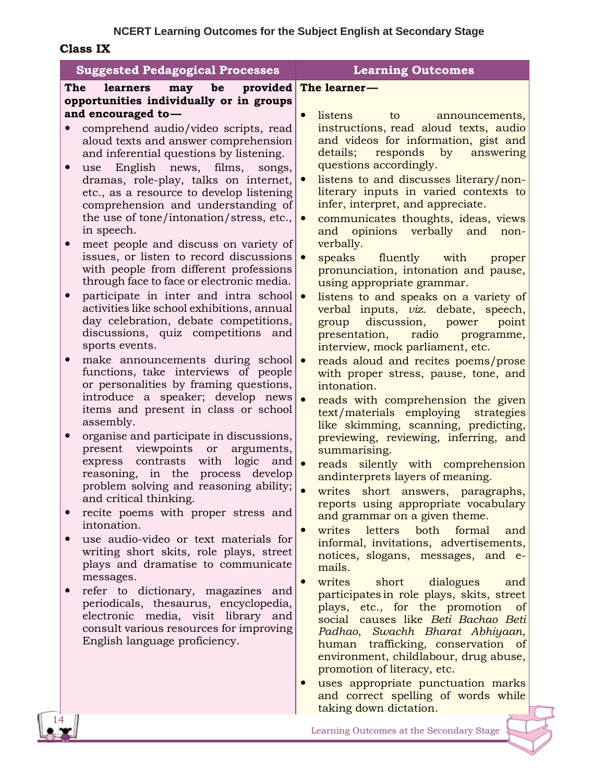## **NCERT Learning Outcomes for the Subject English at Secondary Stage**

**Class IX**

| <b>Suggested Pedagogical Processes</b>                                                                                                                                                                                                                                                                                                                                                                                                                                                                                                                                                                                                                                                                                                                                                                                                                                                                                                                                                                                                                                                                |                                       | <b>Learning Outcomes</b>                                                                                                                                                                                                                                                                                                                                                                                                                                                                                                                                                                                                                                                                                                                                                                                                                                                                                                                                                                                                                                                                                         |
|-------------------------------------------------------------------------------------------------------------------------------------------------------------------------------------------------------------------------------------------------------------------------------------------------------------------------------------------------------------------------------------------------------------------------------------------------------------------------------------------------------------------------------------------------------------------------------------------------------------------------------------------------------------------------------------------------------------------------------------------------------------------------------------------------------------------------------------------------------------------------------------------------------------------------------------------------------------------------------------------------------------------------------------------------------------------------------------------------------|---------------------------------------|------------------------------------------------------------------------------------------------------------------------------------------------------------------------------------------------------------------------------------------------------------------------------------------------------------------------------------------------------------------------------------------------------------------------------------------------------------------------------------------------------------------------------------------------------------------------------------------------------------------------------------------------------------------------------------------------------------------------------------------------------------------------------------------------------------------------------------------------------------------------------------------------------------------------------------------------------------------------------------------------------------------------------------------------------------------------------------------------------------------|
| The<br>may be<br>learners                                                                                                                                                                                                                                                                                                                                                                                                                                                                                                                                                                                                                                                                                                                                                                                                                                                                                                                                                                                                                                                                             | provided                              | The learner-                                                                                                                                                                                                                                                                                                                                                                                                                                                                                                                                                                                                                                                                                                                                                                                                                                                                                                                                                                                                                                                                                                     |
| opportunities individually or in groups                                                                                                                                                                                                                                                                                                                                                                                                                                                                                                                                                                                                                                                                                                                                                                                                                                                                                                                                                                                                                                                               |                                       |                                                                                                                                                                                                                                                                                                                                                                                                                                                                                                                                                                                                                                                                                                                                                                                                                                                                                                                                                                                                                                                                                                                  |
| and encouraged to-<br>comprehend audio/video scripts, read<br>aloud texts and answer comprehension<br>and inferential questions by listening.<br>use English news, films,<br>dramas, role-play, talks on internet,<br>etc., as a resource to develop listening<br>comprehension and understanding of<br>the use of tone/intonation/stress, etc.,<br>in speech.<br>meet people and discuss on variety of<br>issues, or listen to record discussions<br>with people from different professions<br>through face to face or electronic media.<br>participate in inter and intra school<br>activities like school exhibitions, annual<br>day celebration, debate competitions,<br>discussions, quiz competitions and<br>sports events.<br>make announcements during school $\bullet$<br>functions, take interviews of people<br>or personalities by framing questions,<br>introduce a speaker; develop news<br>items and present in class or school<br>assembly.<br>organise and participate in discussions,<br>present viewpoints or<br>express contrasts with logic<br>reasoning, in the process develop | songs,<br>arguments,<br>and $\bullet$ | $\bullet$<br>listens<br>to<br>announcements,<br>instructions, read aloud texts, audio<br>and videos for information, gist and<br>details;<br>responds by<br>answering<br>questions accordingly.<br>listens to and discusses literary/non-<br>$\bullet$<br>literary inputs in varied contexts to<br>infer, interpret, and appreciate.<br>communicates thoughts, ideas, views<br>and opinions verbally and<br>non-<br>verbally.<br>speaks fluently<br>with<br>proper<br>pronunciation, intonation and pause,<br>using appropriate grammar.<br>listens to and speaks on a variety of<br>$\bullet$<br>verbal inputs, viz. debate, speech,<br>discussion,<br>group<br>power<br>point<br>radio<br>presentation,<br>programme,<br>interview, mock parliament, etc.<br>reads aloud and recites poems/prose<br>with proper stress, pause, tone, and<br>intonation.<br>reads with comprehension the given<br>text/materials employing strategies<br>like skimming, scanning, predicting,<br>previewing, reviewing, inferring, and<br>summarising.<br>reads silently with comprehension<br>andinterprets layers of meaning. |
| problem solving and reasoning ability;<br>and critical thinking.<br>recite poems with proper stress and<br>intonation.<br>use audio-video or text materials for<br>writing short skits, role plays, street<br>plays and dramatise to communicate<br>messages.<br>refer to dictionary, magazines and<br>periodicals, thesaurus, encyclopedia,<br>electronic media, visit library and                                                                                                                                                                                                                                                                                                                                                                                                                                                                                                                                                                                                                                                                                                                   |                                       | writes short answers, paragraphs,<br>reports using appropriate vocabulary<br>and grammar on a given theme.<br>writes<br>letters<br>both<br>formal<br>$\bullet$<br>and<br>informal, invitations, advertisements,<br>notices, slogans, messages, and e-<br>mails.<br>writes<br>short dialogues<br>and<br>participates in role plays, skits, street<br>plays, etc., for the promotion<br>of<br>social causes like Beti Bachao Beti<br>Padhao, Swachh Bharat Abhiyaan,                                                                                                                                                                                                                                                                                                                                                                                                                                                                                                                                                                                                                                               |
| consult various resources for improving<br>English language proficiency.                                                                                                                                                                                                                                                                                                                                                                                                                                                                                                                                                                                                                                                                                                                                                                                                                                                                                                                                                                                                                              |                                       | human trafficking, conservation of<br>environment, childlabour, drug abuse,<br>promotion of literacy, etc.<br>uses appropriate punctuation marks                                                                                                                                                                                                                                                                                                                                                                                                                                                                                                                                                                                                                                                                                                                                                                                                                                                                                                                                                                 |

Learning Outcomes at the Secondary Stage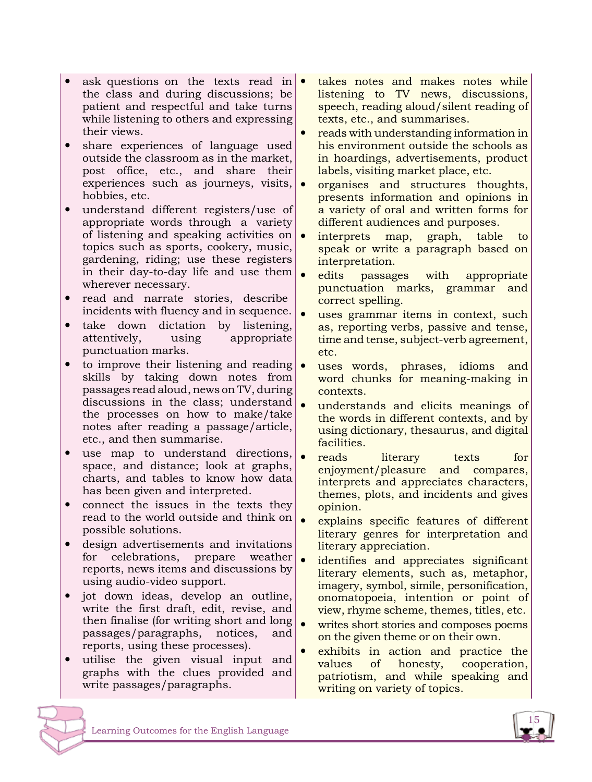- ask questions on the texts read in  $\bullet$ the class and during discussions; be patient and respectful and take turns while listening to others and expressing their views.
- share experiences of language used outside the classroom as in the market, post office, etc., and share their experiences such as journeys, visits, hobbies, etc.
- understand different registers/use of appropriate words through a variety of listening and speaking activities on  $\bullet$ topics such as sports, cookery, music, gardening, riding; use these registers in their day-to-day life and use them wherever necessary.
- read and narrate stories, describe incidents with fluency and in sequence.
- take down dictation by listening,<br>attentively, using appropriate using appropriate punctuation marks.
- to improve their listening and reading  $\bullet$ skills by taking down notes from passages read aloud, news on TV, during discussions in the class; understand the processes on how to make/take notes after reading a passage/article, etc., and then summarise.
- use map to understand directions, space, and distance; look at graphs, charts, and tables to know how data has been given and interpreted.
- connect the issues in the texts they read to the world outside and think on possible solutions.
- design advertisements and invitations for celebrations, prepare weather reports, news items and discussions by using audio-video support.
- jot down ideas, develop an outline, write the first draft, edit, revise, and then finalise (for writing short and long passages/paragraphs, notices, and reports, using these processes).
- utilise the given visual input and graphs with the clues provided and write passages/paragraphs.
- takes notes and makes notes while listening to TV news, discussions, speech, reading aloud/silent reading of texts, etc., and summarises.
- reads with understanding information in his environment outside the schools as in hoardings, advertisements, product labels, visiting market place, etc.
- organises and structures thoughts, presents information and opinions in a variety of oral and written forms for different audiences and purposes.
- interprets map, graph, table to speak or write a paragraph based on interpretation.
- edits passages with appropriate punctuation marks, grammar and correct spelling.
- uses grammar items in context, such as, reporting verbs, passive and tense, time and tense, subject-verb agreement, etc.
- uses words, phrases, idioms and word chunks for meaning-making in contexts.
- understands and elicits meanings of the words in different contexts, and by using dictionary, thesaurus, and digital facilities.
- reads literary texts for enjoyment/pleasure and compares, interprets and appreciates characters, themes, plots, and incidents and gives opinion.
- explains specific features of different literary genres for interpretation and literary appreciation.
- identifies and appreciates significant literary elements, such as, metaphor, imagery, symbol, simile, personification, onomatopoeia, intention or point of view, rhyme scheme, themes, titles, etc.
- writes short stories and composes poems on the given theme or on their own.
- exhibits in action and practice the values of honesty, cooperation, patriotism, and while speaking and writing on variety of topics.



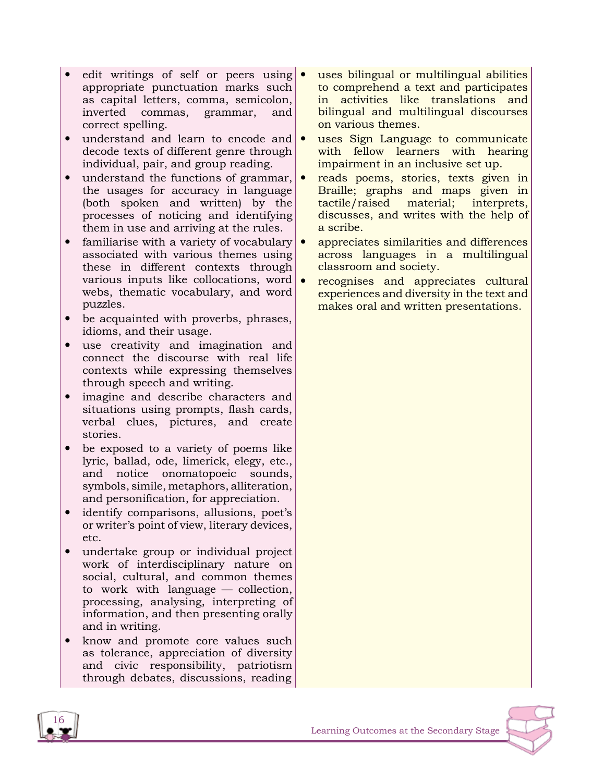- edit writings of self or peers using  $\bullet$ appropriate punctuation marks such as capital letters, comma, semicolon, inverted commas, grammar, and correct spelling.
- understand and learn to encode and decode texts of different genre through individual, pair, and group reading.
- understand the functions of grammar, the usages for accuracy in language (both spoken and written) by the processes of noticing and identifying them in use and arriving at the rules.
- familiarise with a variety of vocabulary  $\bullet$ associated with various themes using these in different contexts through various inputs like collocations, word  $\bullet$ webs, thematic vocabulary, and word puzzles.
- be acquainted with proverbs, phrases, idioms, and their usage.
- use creativity and imagination and connect the discourse with real life contexts while expressing themselves through speech and writing.
- imagine and describe characters and situations using prompts, flash cards, verbal clues, pictures, and create stories.
- be exposed to a variety of poems like lyric, ballad, ode, limerick, elegy, etc., and notice onomatopoeic sounds, symbols, simile, metaphors, alliteration, and personification, for appreciation.
- identify comparisons, allusions, poet's or writer's point of view, literary devices, etc.
- undertake group or individual project work of interdisciplinary nature on social, cultural, and common themes to work with language — collection, processing, analysing, interpreting of information, and then presenting orally and in writing.
- know and promote core values such as tolerance, appreciation of diversity and civic responsibility, patriotism through debates, discussions, reading
- uses bilingual or multilingual abilities to comprehend a text and participates in activities like translations and bilingual and multilingual discourses on various themes.
- uses Sign Language to communicate with fellow learners with hearing impairment in an inclusive set up.
- reads poems, stories, texts given in Braille; graphs and maps given in tactile/raised material; interprets, discusses, and writes with the help of a scribe.
- appreciates similarities and differences across languages in a multilingual classroom and society.
- recognises and appreciates cultural experiences and diversity in the text and makes oral and written presentations.

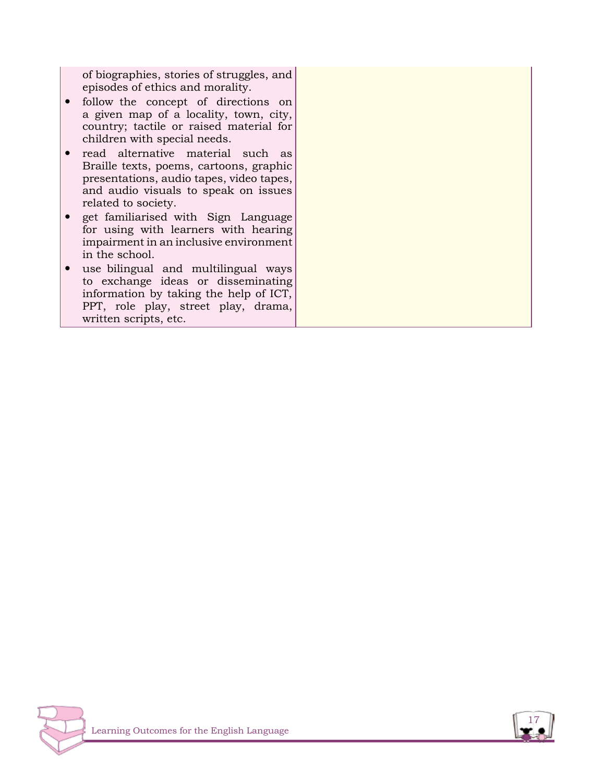of biographies, stories of struggles, and episodes of ethics and morality.

- follow the concept of directions on a given map of a locality, town, city, country; tactile or raised material for children with special needs.
- read alternative material such as Braille texts, poems, cartoons, graphic presentations, audio tapes, video tapes, and audio visuals to speak on issues related to society.
- get familiarised with Sign Language for using with learners with hearing impairment in an inclusive environment in the school.
- use bilingual and multilingual ways to exchange ideas or disseminating information by taking the help of ICT, PPT, role play, street play, drama, written scripts, etc.



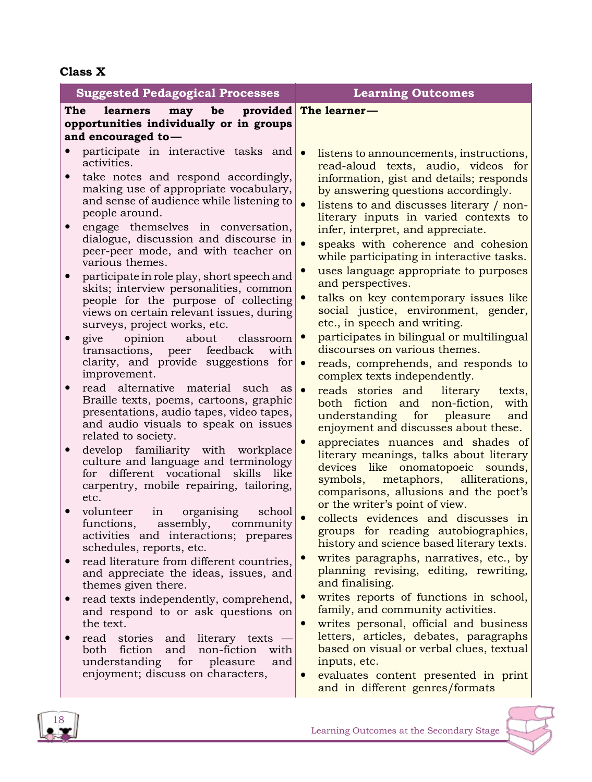## **Class X**

| <b>Suggested Pedagogical Processes</b>                                                                                                                                                                                                                                                                                                                                                                                                                                                                                                                                                                                                                                                                                                                                                                                                                                                                                                                                                                                                                                                                                                                                                                                                                                                                                                                                                                                                                                                                                                                                                                                                                                                                                                          | <b>Learning Outcomes</b>                                                                                                                                                                                                                                                                                                                                                                                                                                                                                                                                                                                                                                                                                                                                                                                                                                                                                                                                                                                                                                                                                                                                                                                                                                                                                                                                                                                                                                                                                                                                                                                                                                                                                                                                                                                   |
|-------------------------------------------------------------------------------------------------------------------------------------------------------------------------------------------------------------------------------------------------------------------------------------------------------------------------------------------------------------------------------------------------------------------------------------------------------------------------------------------------------------------------------------------------------------------------------------------------------------------------------------------------------------------------------------------------------------------------------------------------------------------------------------------------------------------------------------------------------------------------------------------------------------------------------------------------------------------------------------------------------------------------------------------------------------------------------------------------------------------------------------------------------------------------------------------------------------------------------------------------------------------------------------------------------------------------------------------------------------------------------------------------------------------------------------------------------------------------------------------------------------------------------------------------------------------------------------------------------------------------------------------------------------------------------------------------------------------------------------------------|------------------------------------------------------------------------------------------------------------------------------------------------------------------------------------------------------------------------------------------------------------------------------------------------------------------------------------------------------------------------------------------------------------------------------------------------------------------------------------------------------------------------------------------------------------------------------------------------------------------------------------------------------------------------------------------------------------------------------------------------------------------------------------------------------------------------------------------------------------------------------------------------------------------------------------------------------------------------------------------------------------------------------------------------------------------------------------------------------------------------------------------------------------------------------------------------------------------------------------------------------------------------------------------------------------------------------------------------------------------------------------------------------------------------------------------------------------------------------------------------------------------------------------------------------------------------------------------------------------------------------------------------------------------------------------------------------------------------------------------------------------------------------------------------------------|
| The<br>provided<br><b>learners</b><br>be<br>may<br>opportunities individually or in groups                                                                                                                                                                                                                                                                                                                                                                                                                                                                                                                                                                                                                                                                                                                                                                                                                                                                                                                                                                                                                                                                                                                                                                                                                                                                                                                                                                                                                                                                                                                                                                                                                                                      | The learner-                                                                                                                                                                                                                                                                                                                                                                                                                                                                                                                                                                                                                                                                                                                                                                                                                                                                                                                                                                                                                                                                                                                                                                                                                                                                                                                                                                                                                                                                                                                                                                                                                                                                                                                                                                                               |
|                                                                                                                                                                                                                                                                                                                                                                                                                                                                                                                                                                                                                                                                                                                                                                                                                                                                                                                                                                                                                                                                                                                                                                                                                                                                                                                                                                                                                                                                                                                                                                                                                                                                                                                                                 |                                                                                                                                                                                                                                                                                                                                                                                                                                                                                                                                                                                                                                                                                                                                                                                                                                                                                                                                                                                                                                                                                                                                                                                                                                                                                                                                                                                                                                                                                                                                                                                                                                                                                                                                                                                                            |
| and encouraged to-<br>participate in interactive tasks and $\bullet$<br>activities.<br>take notes and respond accordingly,<br>$\bullet$<br>making use of appropriate vocabulary,<br>and sense of audience while listening to<br>people around.<br>engage themselves in conversation,<br>$\bullet$<br>dialogue, discussion and discourse in<br>peer-peer mode, and with teacher on<br>various themes.<br>participate in role play, short speech and<br>skits; interview personalities, common<br>people for the purpose of collecting<br>views on certain relevant issues, during<br>surveys, project works, etc.<br>opinion<br>about<br>give<br>classroom<br>$\bullet$<br>transactions, peer feedback<br>with<br>clarity, and provide suggestions for<br>improvement.<br>read alternative material such as<br>$\bullet$<br>Braille texts, poems, cartoons, graphic<br>presentations, audio tapes, video tapes,<br>and audio visuals to speak on issues<br>related to society.<br>develop familiarity with workplace<br>$\bullet$<br>culture and language and terminology<br>for different vocational skills<br>like<br>carpentry, mobile repairing, tailoring,<br>etc.<br>in organising<br>volunteer<br>school<br>functions,<br>assembly, community<br>activities and interactions; prepares<br>schedules, reports, etc.<br>read literature from different countries,<br>$\bullet$<br>and appreciate the ideas, issues, and<br>themes given there.<br>read texts independently, comprehend,<br>$\bullet$<br>and respond to or ask questions on<br>the text.<br>read stories and<br>literary texts<br>$\bullet$<br>both<br>fiction<br>non-fiction<br>and<br>with<br>understanding<br>for<br>pleasure<br>and<br>enjoyment; discuss on characters, | listens to announcements, instructions,<br>read-aloud texts, audio, videos for<br>information, gist and details; responds<br>by answering questions accordingly.<br>$\bullet$<br>listens to and discusses literary / non-<br>literary inputs in varied contexts to<br>infer, interpret, and appreciate.<br>speaks with coherence and cohesion<br>while participating in interactive tasks.<br>uses language appropriate to purposes<br>and perspectives.<br>talks on key contemporary issues like<br>$\bullet$<br>social justice, environment, gender,<br>etc., in speech and writing.<br>participates in bilingual or multilingual<br>$\bullet$<br>discourses on various themes.<br>$\bullet$<br>reads, comprehends, and responds to<br>complex texts independently.<br>$\bullet$<br>reads stories and literary<br>texts,<br>both fiction and non-fiction,<br>with<br>understanding for<br>pleasure<br>and<br>enjoyment and discusses about these.<br>appreciates nuances and shades of<br>literary meanings, talks about literary<br>devices like onomatopoeic sounds,<br>metaphors, alliterations,<br>symbols,<br>comparisons, allusions and the poet's<br>or the writer's point of view.<br>collects evidences and discusses in<br>$\bullet$<br>groups for reading autobiographies,<br>history and science based literary texts.<br>writes paragraphs, narratives, etc., by<br>$\bullet$<br>planning revising, editing, rewriting,<br>and finalising.<br>writes reports of functions in school,<br>$\bullet$<br>family, and community activities.<br>writes personal, official and business<br>$\bullet$<br>letters, articles, debates, paragraphs<br>based on visual or verbal clues, textual<br>inputs, etc.<br>evaluates content presented in print<br>$\bullet$<br>and in different genres/formats |



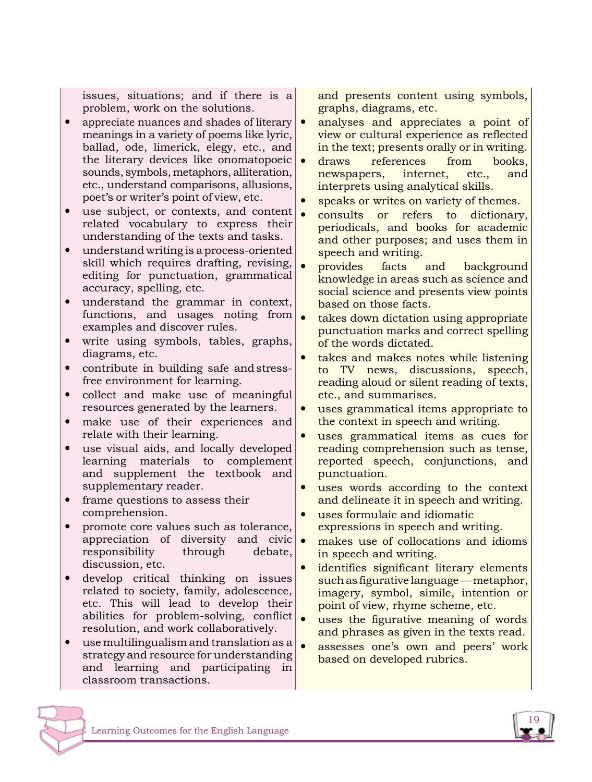issues, situations; and if there is a problem, work on the solutions.

- appreciate nuances and shades of literary meanings in a variety of poems like lyric, ballad, ode, limerick, elegy, etc., and the literary devices like onomatopoeic  $\bullet$ sounds, symbols, metaphors, alliteration, etc., understand comparisons, allusions, poet's or writer's point of view, etc.
- use subject, or contexts, and content related vocabulary to express their understanding of the texts and tasks.
- understand writing is a process-oriented skill which requires drafting, revising, editing for punctuation, grammatical accuracy, spelling, etc.
- understand the grammar in context, functions, and usages noting from examples and discover rules.
- write using symbols, tables, graphs, diagrams, etc.
- contribute in building safe andstressfree environment for learning.
- collect and make use of meaningful resources generated by the learners.
- make use of their experiences and relate with their learning.
- use visual aids, and locally developed learning materials to complement and supplement the textbook and supplementary reader.
- frame questions to assess their comprehension.
- promote core values such as tolerance, appreciation of diversity and civic responsibility through debate, discussion, etc.
- develop critical thinking on issues related to society, family, adolescence, etc. This will lead to develop their abilities for problem-solving, conflict  $\bullet$ resolution, and work collaboratively.
- use multilingualism and translation as a strategy and resource for understanding and learning and participating in classroom transactions.

and presents content using symbols, graphs, diagrams, etc.

- analyses and appreciates a point of view or cultural experience as reflected in the text; presents orally or in writing.
- draws references from books, newspapers, internet, etc., and interprets using analytical skills.
- speaks or writes on variety of themes.
- consults or refers to dictionary, periodicals, and books for academic and other purposes; and uses them in speech and writing.
- provides facts and background knowledge in areas such as science and social science and presents view points based on those facts.
- takes down dictation using appropriate punctuation marks and correct spelling of the words dictated.
- takes and makes notes while listening to TV news, discussions, speech, reading aloud or silent reading of texts, etc., and summarises.
- uses grammatical items appropriate to the context in speech and writing.
- uses grammatical items as cues for reading comprehension such as tense, reported speech, conjunctions, and punctuation.
- uses words according to the context and delineate it in speech and writing.
- uses formulaic and idiomatic expressions in speech and writing.
- makes use of collocations and idioms in speech and writing.
- identifies significant literary elements suchas figurative language—metaphor, imagery, symbol, simile, intention or point of view, rhyme scheme, etc.
- uses the figurative meaning of words and phrases as given in the texts read.
- assesses one's own and peers' work based on developed rubrics.